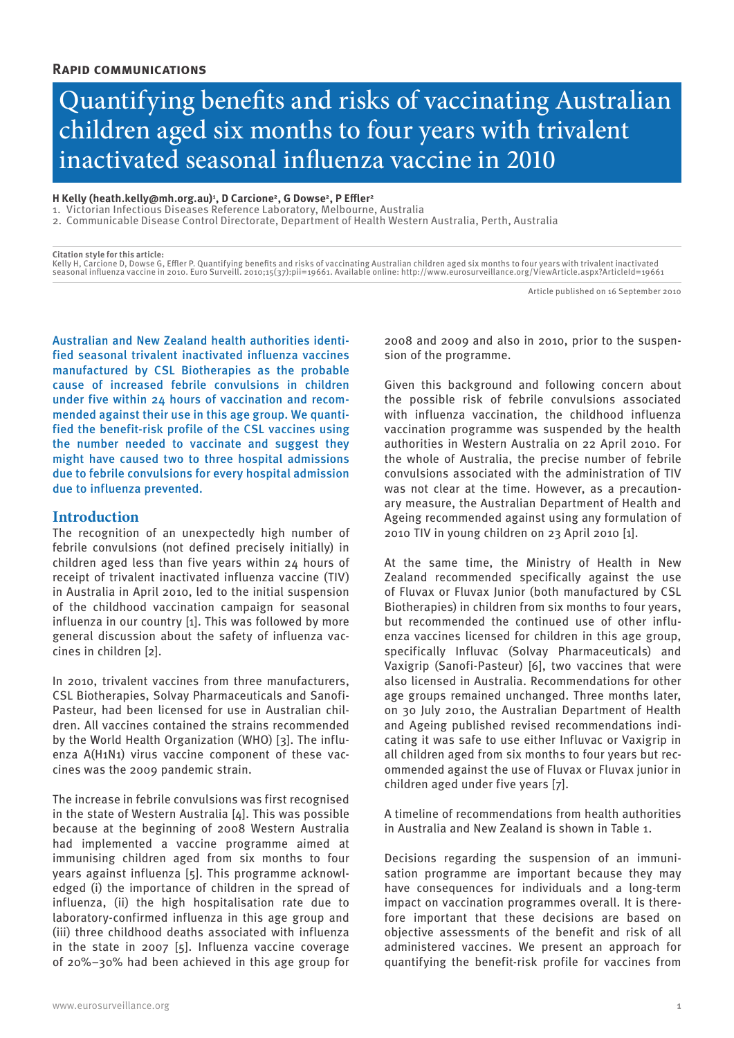# Quantifying benefits and risks of vaccinating Australian children aged six months to four years with trivalent inactivated seasonal influenza vaccine in 2010

#### **H Kelly (heath.kelly@mh.org.au)1 , D Carcione2, G Dowse2, P Effler2**

1. Victorian Infectious Diseases Reference Laboratory, Melbourne, Australia

2. Communicable Disease Control Directorate, Department of Health Western Australia, Perth, Australia

**Citation style for this article:** Kelly H, Carcione D, Dowse G, Effler P. Quantifying benefits and risks of vaccinating Australian children aged six months to four years with trivalent inactivated seasonal influenza vaccine in 2010. Euro Surveill. 2010;15(37):pii=19661. Available online: http://www.eurosurveillance.org/ViewArticle.aspx?ArticleId=19661

Article published on 16 September 2010

Australian and New Zealand health authorities identified seasonal trivalent inactivated influenza vaccines manufactured by CSL Biotherapies as the probable cause of increased febrile convulsions in children under five within 24 hours of vaccination and recommended against their use in this age group. We quantified the benefit-risk profile of the CSL vaccines using the number needed to vaccinate and suggest they might have caused two to three hospital admissions due to febrile convulsions for every hospital admission due to influenza prevented.

# **Introduction**

The recognition of an unexpectedly high number of febrile convulsions (not defined precisely initially) in children aged less than five years within 24 hours of receipt of trivalent inactivated influenza vaccine (TIV) in Australia in April 2010, led to the initial suspension of the childhood vaccination campaign for seasonal influenza in our country [1]. This was followed by more general discussion about the safety of influenza vaccines in children [2].

In 2010, trivalent vaccines from three manufacturers, CSL Biotherapies, Solvay Pharmaceuticals and Sanofi-Pasteur, had been licensed for use in Australian children. All vaccines contained the strains recommended by the World Health Organization (WHO) [3]. The influenza A(H1N1) virus vaccine component of these vaccines was the 2009 pandemic strain.

The increase in febrile convulsions was first recognised in the state of Western Australia [4]. This was possible because at the beginning of 2008 Western Australia had implemented a vaccine programme aimed at immunising children aged from six months to four years against influenza [5]. This programme acknowledged (i) the importance of children in the spread of influenza, (ii) the high hospitalisation rate due to laboratory-confirmed influenza in this age group and (iii) three childhood deaths associated with influenza in the state in 2007 [5]. Influenza vaccine coverage of 20%–30% had been achieved in this age group for 2008 and 2009 and also in 2010, prior to the suspension of the programme.

Given this background and following concern about the possible risk of febrile convulsions associated with influenza vaccination, the childhood influenza vaccination programme was suspended by the health authorities in Western Australia on 22 April 2010. For the whole of Australia, the precise number of febrile convulsions associated with the administration of TIV was not clear at the time. However, as a precautionary measure, the Australian Department of Health and Ageing recommended against using any formulation of 2010 TIV in young children on 23 April 2010 [1].

At the same time, the Ministry of Health in New Zealand recommended specifically against the use of Fluvax or Fluvax Junior (both manufactured by CSL Biotherapies) in children from six months to four years, but recommended the continued use of other influenza vaccines licensed for children in this age group, specifically Influvac (Solvay Pharmaceuticals) and Vaxigrip (Sanofi-Pasteur) [6], two vaccines that were also licensed in Australia. Recommendations for other age groups remained unchanged. Three months later, on 30 July 2010, the Australian Department of Health and Ageing published revised recommendations indicating it was safe to use either Influvac or Vaxigrip in all children aged from six months to four years but recommended against the use of Fluvax or Fluvax junior in children aged under five years [7].

A timeline of recommendations from health authorities in Australia and New Zealand is shown in Table 1.

Decisions regarding the suspension of an immunisation programme are important because they may have consequences for individuals and a long-term impact on vaccination programmes overall. It is therefore important that these decisions are based on objective assessments of the benefit and risk of all administered vaccines. We present an approach for quantifying the benefit-risk profile for vaccines from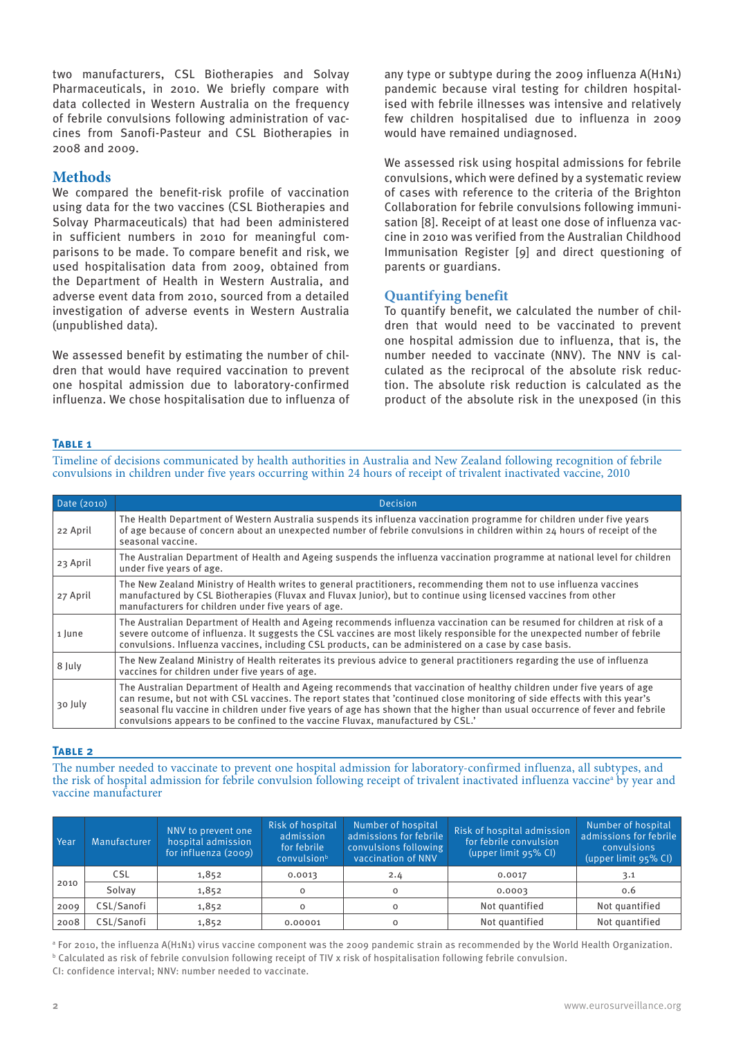two manufacturers, CSL Biotherapies and Solvay Pharmaceuticals, in 2010. We briefly compare with data collected in Western Australia on the frequency of febrile convulsions following administration of vaccines from Sanofi-Pasteur and CSL Biotherapies in 2008 and 2009.

# **Methods**

We compared the benefit-risk profile of vaccination using data for the two vaccines (CSL Biotherapies and Solvay Pharmaceuticals) that had been administered in sufficient numbers in 2010 for meaningful comparisons to be made. To compare benefit and risk, we used hospitalisation data from 2009, obtained from the Department of Health in Western Australia, and adverse event data from 2010, sourced from a detailed investigation of adverse events in Western Australia (unpublished data).

We assessed benefit by estimating the number of children that would have required vaccination to prevent one hospital admission due to laboratory-confirmed influenza. We chose hospitalisation due to influenza of any type or subtype during the 2009 influenza A(H1N1) pandemic because viral testing for children hospitalised with febrile illnesses was intensive and relatively few children hospitalised due to influenza in 2009 would have remained undiagnosed.

We assessed risk using hospital admissions for febrile convulsions, which were defined by a systematic review of cases with reference to the criteria of the Brighton Collaboration for febrile convulsions following immunisation [8]. Receipt of at least one dose of influenza vaccine in 2010 was verified from the Australian Childhood Immunisation Register [9] and direct questioning of parents or guardians.

## **Quantifying benefit**

To quantify benefit, we calculated the number of children that would need to be vaccinated to prevent one hospital admission due to influenza, that is, the number needed to vaccinate (NNV). The NNV is calculated as the reciprocal of the absolute risk reduction. The absolute risk reduction is calculated as the product of the absolute risk in the unexposed (in this

## **Table 1**

Timeline of decisions communicated by health authorities in Australia and New Zealand following recognition of febrile convulsions in children under five years occurring within 24 hours of receipt of trivalent inactivated vaccine, 2010

| Date (2010) | Decision                                                                                                                                                                                                                                                                                                                                                                                                                                                                 |  |  |  |  |  |
|-------------|--------------------------------------------------------------------------------------------------------------------------------------------------------------------------------------------------------------------------------------------------------------------------------------------------------------------------------------------------------------------------------------------------------------------------------------------------------------------------|--|--|--|--|--|
| 22 April    | The Health Department of Western Australia suspends its influenza vaccination programme for children under five years<br>of age because of concern about an unexpected number of febrile convulsions in children within 24 hours of receipt of the<br>seasonal vaccine.                                                                                                                                                                                                  |  |  |  |  |  |
| 23 April    | The Australian Department of Health and Ageing suspends the influenza vaccination programme at national level for children<br>under five years of age.                                                                                                                                                                                                                                                                                                                   |  |  |  |  |  |
| 27 April    | The New Zealand Ministry of Health writes to general practitioners, recommending them not to use influenza vaccines<br>manufactured by CSL Biotherapies (Fluvax and Fluvax Junior), but to continue using licensed vaccines from other<br>manufacturers for children under five years of age.                                                                                                                                                                            |  |  |  |  |  |
| 1 June      | The Australian Department of Health and Ageing recommends influenza vaccination can be resumed for children at risk of a<br>severe outcome of influenza. It suggests the CSL vaccines are most likely responsible for the unexpected number of febrile<br>convulsions. Influenza vaccines, including CSL products, can be administered on a case by case basis.                                                                                                          |  |  |  |  |  |
| 8 July      | The New Zealand Ministry of Health reiterates its previous advice to general practitioners regarding the use of influenza<br>vaccines for children under five years of age.                                                                                                                                                                                                                                                                                              |  |  |  |  |  |
| 30 July     | The Australian Department of Health and Ageing recommends that vaccination of healthy children under five years of age<br>can resume, but not with CSL vaccines. The report states that 'continued close monitoring of side effects with this year's<br>seasonal flu vaccine in children under five years of age has shown that the higher than usual occurrence of fever and febrile<br>convulsions appears to be confined to the vaccine Fluvax, manufactured by CSL.' |  |  |  |  |  |

## **Table 2**

The number needed to vaccinate to prevent one hospital admission for laboratory-confirmed influenza, all subtypes, and the risk of hospital admission for febrile convulsion following receipt of trivalent inactivated influenza vaccineª by year and vaccine manufacturer

| Year | <b>Manufacturer</b> | NNV to prevent one<br>hospital admission<br>for influenza (2009) | <b>Risk of hospital</b><br>admission<br>for febrile<br>convulsionb | Number of hospital<br>admissions for febrile<br>convulsions following<br>vaccination of NNV | Risk of hospital admission<br>for febrile convulsion<br>(upper limit 95% CI) | Number of hospital<br>admissions for febrile<br>convulsions<br>$(upper limit 95\% CI)$ |
|------|---------------------|------------------------------------------------------------------|--------------------------------------------------------------------|---------------------------------------------------------------------------------------------|------------------------------------------------------------------------------|----------------------------------------------------------------------------------------|
| 2010 | CSL                 | 1,852                                                            | 0.0013                                                             | 2.4                                                                                         | 0.0017                                                                       | 3.1                                                                                    |
|      | Solvay              | 1,852                                                            | $\Omega$                                                           | $\circ$                                                                                     | 0.0003                                                                       | 0.6                                                                                    |
| 2009 | CSL/Sanofi          | 1,852                                                            |                                                                    | $\mathbf 0$                                                                                 | Not quantified                                                               | Not quantified                                                                         |
| 2008 | CSL/Sanofi          | 1,852                                                            | 0.00001                                                            | $\circ$                                                                                     | Not quantified                                                               | Not quantified                                                                         |

a For 2010, the influenza A(H1N1) virus vaccine component was the 2009 pandemic strain as recommended by the World Health Organization.  $^{\rm b}$  Calculated as risk of febrile convulsion following receipt of TIV x risk of hospitalisation following febrile convulsion. CI: confidence interval; NNV: number needed to vaccinate.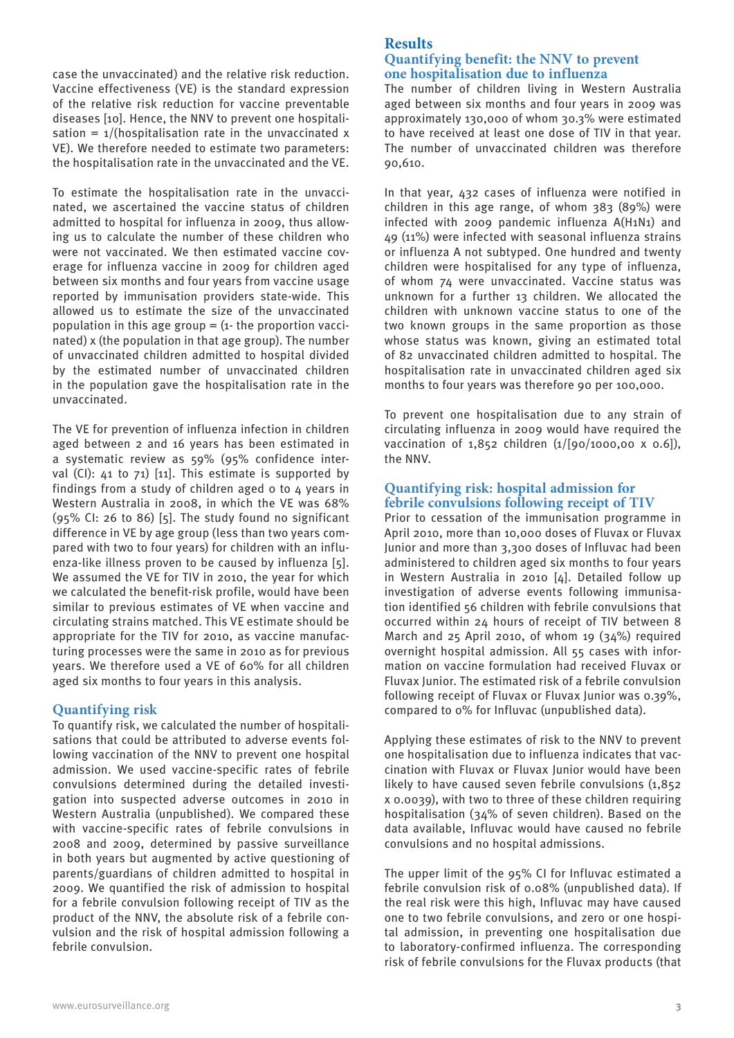case the unvaccinated) and the relative risk reduction. Vaccine effectiveness (VE) is the standard expression of the relative risk reduction for vaccine preventable diseases [10]. Hence, the NNV to prevent one hospitalisation =  $1/($ hospitalisation rate in the unvaccinated x VE). We therefore needed to estimate two parameters: the hospitalisation rate in the unvaccinated and the VE.

To estimate the hospitalisation rate in the unvaccinated, we ascertained the vaccine status of children admitted to hospital for influenza in 2009, thus allowing us to calculate the number of these children who were not vaccinated. We then estimated vaccine coverage for influenza vaccine in 2009 for children aged between six months and four years from vaccine usage reported by immunisation providers state-wide. This allowed us to estimate the size of the unvaccinated population in this age group  $=$  (1- the proportion vaccinated) x (the population in that age group). The number of unvaccinated children admitted to hospital divided by the estimated number of unvaccinated children in the population gave the hospitalisation rate in the unvaccinated.

The VE for prevention of influenza infection in children aged between 2 and 16 years has been estimated in a systematic review as 59% (95% confidence interval (CI): 41 to 71) [11]. This estimate is supported by findings from a study of children aged 0 to 4 years in Western Australia in 2008, in which the VE was 68% (95% CI: 26 to 86) [5]. The study found no significant difference in VE by age group (less than two years compared with two to four years) for children with an influenza-like illness proven to be caused by influenza [5]. We assumed the VE for TIV in 2010, the year for which we calculated the benefit-risk profile, would have been similar to previous estimates of VE when vaccine and circulating strains matched. This VE estimate should be appropriate for the TIV for 2010, as vaccine manufacturing processes were the same in 2010 as for previous years. We therefore used a VE of 60% for all children aged six months to four years in this analysis.

## **Quantifying risk**

To quantify risk, we calculated the number of hospitalisations that could be attributed to adverse events following vaccination of the NNV to prevent one hospital admission. We used vaccine-specific rates of febrile convulsions determined during the detailed investigation into suspected adverse outcomes in 2010 in Western Australia (unpublished). We compared these with vaccine-specific rates of febrile convulsions in 2008 and 2009, determined by passive surveillance in both years but augmented by active questioning of parents/guardians of children admitted to hospital in 2009. We quantified the risk of admission to hospital for a febrile convulsion following receipt of TIV as the product of the NNV, the absolute risk of a febrile convulsion and the risk of hospital admission following a febrile convulsion.

## **Results Quantifying benefit: the NNV to prevent one hospitalisation due to influenza**

The number of children living in Western Australia aged between six months and four years in 2009 was approximately 130,000 of whom 30.3% were estimated to have received at least one dose of TIV in that year. The number of unvaccinated children was therefore 90,610.

In that year, 432 cases of influenza were notified in children in this age range, of whom 383 (89%) were infected with 2009 pandemic influenza A(H1N1) and 49 (11%) were infected with seasonal influenza strains or influenza A not subtyped. One hundred and twenty children were hospitalised for any type of influenza, of whom 74 were unvaccinated. Vaccine status was unknown for a further 13 children. We allocated the children with unknown vaccine status to one of the two known groups in the same proportion as those whose status was known, giving an estimated total of 82 unvaccinated children admitted to hospital. The hospitalisation rate in unvaccinated children aged six months to four years was therefore 90 per 100,000.

To prevent one hospitalisation due to any strain of circulating influenza in 2009 would have required the vaccination of 1,852 children (1/[90/1000,00 x 0.6]), the NNV.

## **Quantifying risk: hospital admission for febrile convulsions following receipt of TIV**

Prior to cessation of the immunisation programme in April 2010, more than 10,000 doses of Fluvax or Fluvax Junior and more than 3,300 doses of Influvac had been administered to children aged six months to four years in Western Australia in 2010 [4]. Detailed follow up investigation of adverse events following immunisation identified 56 children with febrile convulsions that occurred within 24 hours of receipt of TIV between 8 March and 25 April 2010, of whom 19 (34%) required overnight hospital admission. All 55 cases with information on vaccine formulation had received Fluvax or Fluvax Junior. The estimated risk of a febrile convulsion following receipt of Fluvax or Fluvax Junior was 0.39%, compared to 0% for Influvac (unpublished data).

Applying these estimates of risk to the NNV to prevent one hospitalisation due to influenza indicates that vaccination with Fluvax or Fluvax Junior would have been likely to have caused seven febrile convulsions (1,852 x 0.0039), with two to three of these children requiring hospitalisation (34% of seven children). Based on the data available, Influvac would have caused no febrile convulsions and no hospital admissions.

The upper limit of the 95% CI for Influvac estimated a febrile convulsion risk of 0.08% (unpublished data). If the real risk were this high, Influvac may have caused one to two febrile convulsions, and zero or one hospital admission, in preventing one hospitalisation due to laboratory-confirmed influenza. The corresponding risk of febrile convulsions for the Fluvax products (that